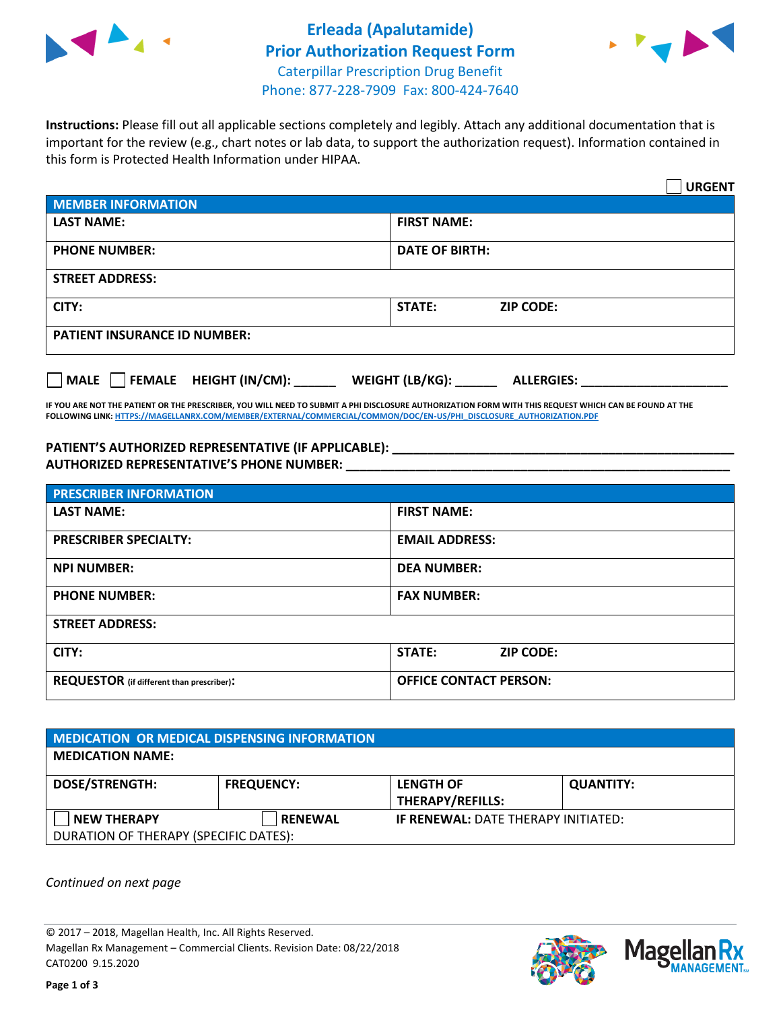



**Instructions:** Please fill out all applicable sections completely and legibly. Attach any additional documentation that is important for the review (e.g., chart notes or lab data, to support the authorization request). Information contained in this form is Protected Health Information under HIPAA.

|                                       | <b>URGENT</b>                        |
|---------------------------------------|--------------------------------------|
| <b>MEMBER INFORMATION</b>             |                                      |
| <b>LAST NAME:</b>                     | <b>FIRST NAME:</b>                   |
| <b>PHONE NUMBER:</b>                  | <b>DATE OF BIRTH:</b>                |
| <b>STREET ADDRESS:</b>                |                                      |
| CITY:                                 | <b>ZIP CODE:</b><br>STATE:           |
| <b>PATIENT INSURANCE ID NUMBER:</b>   |                                      |
| FEMALE HEIGHT (IN/CM):<br><b>MALE</b> | WEIGHT (LB/KG):<br><b>ALLERGIES:</b> |

**IF YOU ARE NOT THE PATIENT OR THE PRESCRIBER, YOU WILL NEED TO SUBMIT A PHI DISCLOSURE AUTHORIZATION FORM WITH THIS REQUEST WHICH CAN BE FOUND AT THE FOLLOWING LINK[: HTTPS://MAGELLANRX.COM/MEMBER/EXTERNAL/COMMERCIAL/COMMON/DOC/EN-US/PHI\\_DISCLOSURE\\_AUTHORIZATION.PDF](https://magellanrx.com/member/external/commercial/common/doc/en-us/PHI_Disclosure_Authorization.pdf)**

**PATIENT'S AUTHORIZED REPRESENTATIVE (IF APPLICABLE): \_\_\_\_\_\_\_\_\_\_\_\_\_\_\_\_\_\_\_\_\_\_\_\_\_\_\_\_\_\_\_\_\_\_\_\_\_\_\_\_\_\_\_\_\_\_\_\_\_ AUTHORIZED REPRESENTATIVE'S PHONE NUMBER: \_\_\_\_\_\_\_\_\_\_\_\_\_\_\_\_\_\_\_\_\_\_\_\_\_\_\_\_\_\_\_\_\_\_\_\_\_\_\_\_\_\_\_\_\_\_\_\_\_\_\_\_\_\_\_**

| <b>PRESCRIBER INFORMATION</b>             |                               |  |  |  |
|-------------------------------------------|-------------------------------|--|--|--|
| <b>LAST NAME:</b>                         | <b>FIRST NAME:</b>            |  |  |  |
| <b>PRESCRIBER SPECIALTY:</b>              | <b>EMAIL ADDRESS:</b>         |  |  |  |
| <b>NPI NUMBER:</b>                        | <b>DEA NUMBER:</b>            |  |  |  |
| <b>PHONE NUMBER:</b>                      | <b>FAX NUMBER:</b>            |  |  |  |
| <b>STREET ADDRESS:</b>                    |                               |  |  |  |
| CITY:                                     | STATE:<br><b>ZIP CODE:</b>    |  |  |  |
| REQUESTOR (if different than prescriber): | <b>OFFICE CONTACT PERSON:</b> |  |  |  |

| <b>MEDICATION OR MEDICAL DISPENSING INFORMATION</b> |                   |                                            |                  |  |  |
|-----------------------------------------------------|-------------------|--------------------------------------------|------------------|--|--|
| <b>MEDICATION NAME:</b>                             |                   |                                            |                  |  |  |
| <b>DOSE/STRENGTH:</b>                               | <b>FREQUENCY:</b> | <b>LENGTH OF</b>                           | <b>QUANTITY:</b> |  |  |
|                                                     |                   | <b>THERAPY/REFILLS:</b>                    |                  |  |  |
| <b>NEW THERAPY</b>                                  | <b>RENEWAL</b>    | <b>IF RENEWAL: DATE THERAPY INITIATED:</b> |                  |  |  |
| DURATION OF THERAPY (SPECIFIC DATES):               |                   |                                            |                  |  |  |

*Continued on next page*

© 2017 – 2018, Magellan Health, Inc. All Rights Reserved. Magellan Rx Management – Commercial Clients. Revision Date: 08/22/2018 CAT0200 9.15.2020



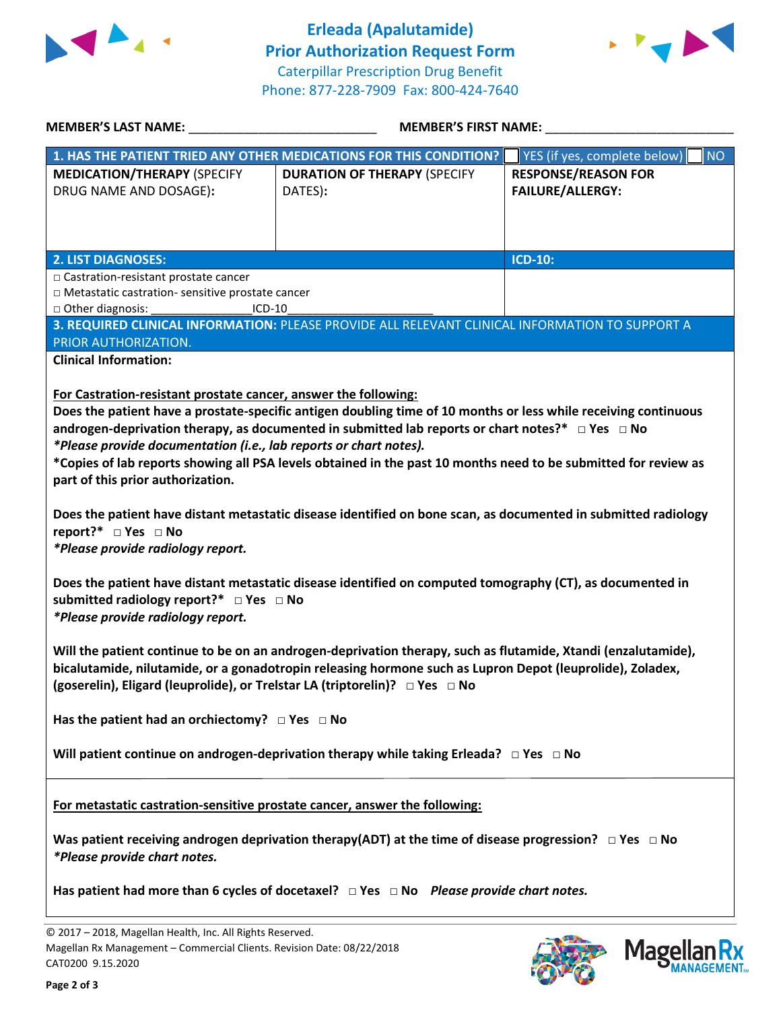



| <b>MEMBER'S LAST NAME:</b> NAME:                                                                                                                                   | <b>MEMBER'S FIRST NAME:</b>                                                                                                                                                                                                                                                                                                                                                                                                                                        |                                                       |  |
|--------------------------------------------------------------------------------------------------------------------------------------------------------------------|--------------------------------------------------------------------------------------------------------------------------------------------------------------------------------------------------------------------------------------------------------------------------------------------------------------------------------------------------------------------------------------------------------------------------------------------------------------------|-------------------------------------------------------|--|
|                                                                                                                                                                    | 1. HAS THE PATIENT TRIED ANY OTHER MEDICATIONS FOR THIS CONDITION?                                                                                                                                                                                                                                                                                                                                                                                                 | YES (if yes, complete below)<br><b>NO</b>             |  |
| <b>MEDICATION/THERAPY (SPECIFY</b><br>DRUG NAME AND DOSAGE):                                                                                                       | <b>DURATION OF THERAPY (SPECIFY</b><br>DATES):                                                                                                                                                                                                                                                                                                                                                                                                                     | <b>RESPONSE/REASON FOR</b><br><b>FAILURE/ALLERGY:</b> |  |
| <b>2. LIST DIAGNOSES:</b>                                                                                                                                          |                                                                                                                                                                                                                                                                                                                                                                                                                                                                    | <b>ICD-10:</b>                                        |  |
| □ Castration-resistant prostate cancer<br>□ Metastatic castration- sensitive prostate cancer<br>$\Box$ Other diagnosis:<br>$ICD-10$                                |                                                                                                                                                                                                                                                                                                                                                                                                                                                                    |                                                       |  |
| PRIOR AUTHORIZATION.                                                                                                                                               | 3. REQUIRED CLINICAL INFORMATION: PLEASE PROVIDE ALL RELEVANT CLINICAL INFORMATION TO SUPPORT A                                                                                                                                                                                                                                                                                                                                                                    |                                                       |  |
| <b>Clinical Information:</b>                                                                                                                                       |                                                                                                                                                                                                                                                                                                                                                                                                                                                                    |                                                       |  |
| *Please provide documentation (i.e., lab reports or chart notes).<br>part of this prior authorization.<br>report?* □ Yes □ No<br>*Please provide radiology report. | Does the patient have a prostate-specific antigen doubling time of 10 months or less while receiving continuous<br>androgen-deprivation therapy, as documented in submitted lab reports or chart notes?* $\Box$ Yes $\Box$ No<br>*Copies of lab reports showing all PSA levels obtained in the past 10 months need to be submitted for review as<br>Does the patient have distant metastatic disease identified on bone scan, as documented in submitted radiology |                                                       |  |
| submitted radiology report?* □ Yes □ No<br>*Please provide radiology report.                                                                                       | Does the patient have distant metastatic disease identified on computed tomography (CT), as documented in                                                                                                                                                                                                                                                                                                                                                          |                                                       |  |
|                                                                                                                                                                    | Will the patient continue to be on an androgen-deprivation therapy, such as flutamide, Xtandi (enzalutamide),<br>bicalutamide, nilutamide, or a gonadotropin releasing hormone such as Lupron Depot (leuprolide), Zoladex,<br>(goserelin), Eligard (leuprolide), or Trelstar LA (triptorelin)? □ Yes □ No                                                                                                                                                          |                                                       |  |
| Has the patient had an orchiectomy? $\Box$ Yes $\Box$ No                                                                                                           |                                                                                                                                                                                                                                                                                                                                                                                                                                                                    |                                                       |  |
|                                                                                                                                                                    | Will patient continue on androgen-deprivation therapy while taking Erleada? $\Box$ Yes $\Box$ No                                                                                                                                                                                                                                                                                                                                                                   |                                                       |  |
| For metastatic castration-sensitive prostate cancer, answer the following:                                                                                         |                                                                                                                                                                                                                                                                                                                                                                                                                                                                    |                                                       |  |
| *Please provide chart notes.                                                                                                                                       | Was patient receiving androgen deprivation therapy(ADT) at the time of disease progression? $\Box$ Yes $\Box$ No                                                                                                                                                                                                                                                                                                                                                   |                                                       |  |
|                                                                                                                                                                    | Has patient had more than 6 cycles of docetaxel? $\Box$ Yes $\Box$ No Please provide chart notes.                                                                                                                                                                                                                                                                                                                                                                  |                                                       |  |
| © 2017 - 2018, Magellan Health, Inc. All Rights Reserved.<br>Magellan Rx Management - Commercial Clients. Revision Date: 08/22/2018<br>CAT0200 9.15.2020           |                                                                                                                                                                                                                                                                                                                                                                                                                                                                    | Magel                                                 |  |